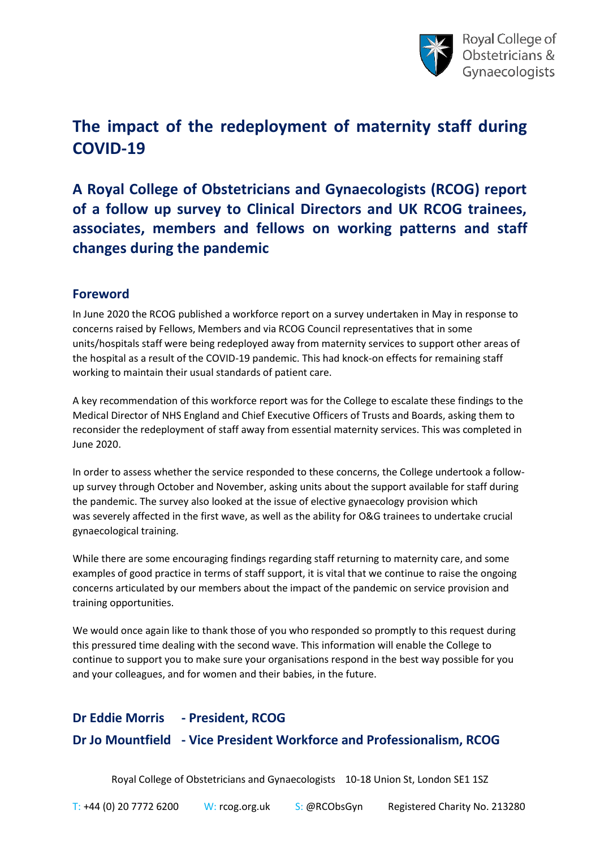

# **The impact of the redeployment of maternity staff during COVID-19**

**A Royal College of Obstetricians and Gynaecologists (RCOG) report of a follow up survey to Clinical Directors and UK RCOG trainees, associates, members and fellows on working patterns and staff changes during the pandemic**

### **Foreword**

In June 2020 the RCOG published a workforce report on a survey undertaken in May in response to concerns raised by Fellows, Members and via RCOG Council representatives that in some units/hospitals staff were being redeployed away from maternity services to support other areas of the hospital as a result of the COVID-19 pandemic. This had knock-on effects for remaining staff working to maintain their usual standards of patient care.

A key recommendation of this workforce report was for the College to escalate these findings to the Medical Director of NHS England and Chief Executive Officers of Trusts and Boards, asking them to reconsider the redeployment of staff away from essential maternity services. This was completed in June 2020.

In order to assess whether the service responded to these concerns, the College undertook a followup survey through October and November, asking units about the support available for staff during the pandemic. The survey also looked at the issue of elective gynaecology provision which was severely affected in the first wave, as well as the ability for O&G trainees to undertake crucial gynaecological training.

While there are some encouraging findings regarding staff returning to maternity care, and some examples of good practice in terms of staff support, it is vital that we continue to raise the ongoing concerns articulated by our members about the impact of the pandemic on service provision and training opportunities.

We would once again like to thank those of you who responded so promptly to this request during this pressured time dealing with the second wave. This information will enable the College to continue to support you to make sure your organisations respond in the best way possible for you and your colleagues, and for women and their babies, in the future.

# **Dr Eddie Morris - President, RCOG Dr Jo Mountfield - Vice President Workforce and Professionalism, RCOG**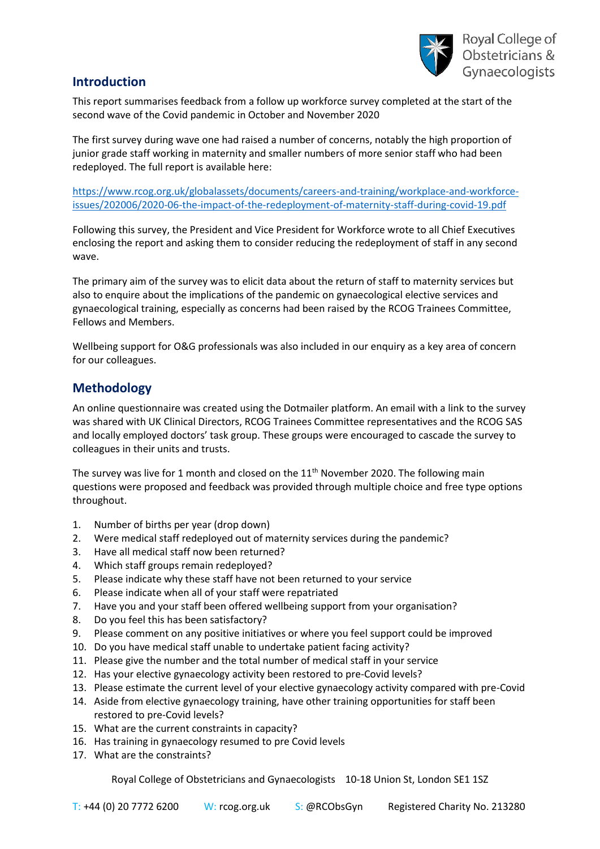

# **Introduction**

This report summarises feedback from a follow up workforce survey completed at the start of the second wave of the Covid pandemic in October and November 2020

The first survey during wave one had raised a number of concerns, notably the high proportion of junior grade staff working in maternity and smaller numbers of more senior staff who had been redeployed. The full report is available here:

[https://www.rcog.org.uk/globalassets/documents/careers-and-training/workplace-and-workforce](https://www.rcog.org.uk/globalassets/documents/careers-and-training/workplace-and-workforce-issues/202006/2020-06-the-impact-of-the-redeployment-of-maternity-staff-during-covid-19.pdf)[issues/202006/2020-06-the-impact-of-the-redeployment-of-maternity-staff-during-covid-19.pdf](https://www.rcog.org.uk/globalassets/documents/careers-and-training/workplace-and-workforce-issues/202006/2020-06-the-impact-of-the-redeployment-of-maternity-staff-during-covid-19.pdf)

Following this survey, the President and Vice President for Workforce wrote to all Chief Executives enclosing the report and asking them to consider reducing the redeployment of staff in any second wave.

The primary aim of the survey was to elicit data about the return of staff to maternity services but also to enquire about the implications of the pandemic on gynaecological elective services and gynaecological training, especially as concerns had been raised by the RCOG Trainees Committee, Fellows and Members.

Wellbeing support for O&G professionals was also included in our enquiry as a key area of concern for our colleagues.

### **Methodology**

An online questionnaire was created using the Dotmailer platform. An email with a link to the survey was shared with UK Clinical Directors, RCOG Trainees Committee representatives and the RCOG SAS and locally employed doctors' task group. These groups were encouraged to cascade the survey to colleagues in their units and trusts.

The survey was live for 1 month and closed on the  $11<sup>th</sup>$  November 2020. The following main questions were proposed and feedback was provided through multiple choice and free type options throughout.

- 1. Number of births per year (drop down)
- 2. Were medical staff redeployed out of maternity services during the pandemic?
- 3. Have all medical staff now been returned?
- 4. Which staff groups remain redeployed?
- 5. Please indicate why these staff have not been returned to your service
- 6. Please indicate when all of your staff were repatriated
- 7. Have you and your staff been offered wellbeing support from your organisation?
- 8. Do you feel this has been satisfactory?
- 9. Please comment on any positive initiatives or where you feel support could be improved
- 10. Do you have medical staff unable to undertake patient facing activity?
- 11. Please give the number and the total number of medical staff in your service
- 12. Has your elective gynaecology activity been restored to pre-Covid levels?
- 13. Please estimate the current level of your elective gynaecology activity compared with pre-Covid
- 14. Aside from elective gynaecology training, have other training opportunities for staff been restored to pre-Covid levels?
- 15. What are the current constraints in capacity?
- 16. Has training in gynaecology resumed to pre Covid levels
- 17. What are the constraints?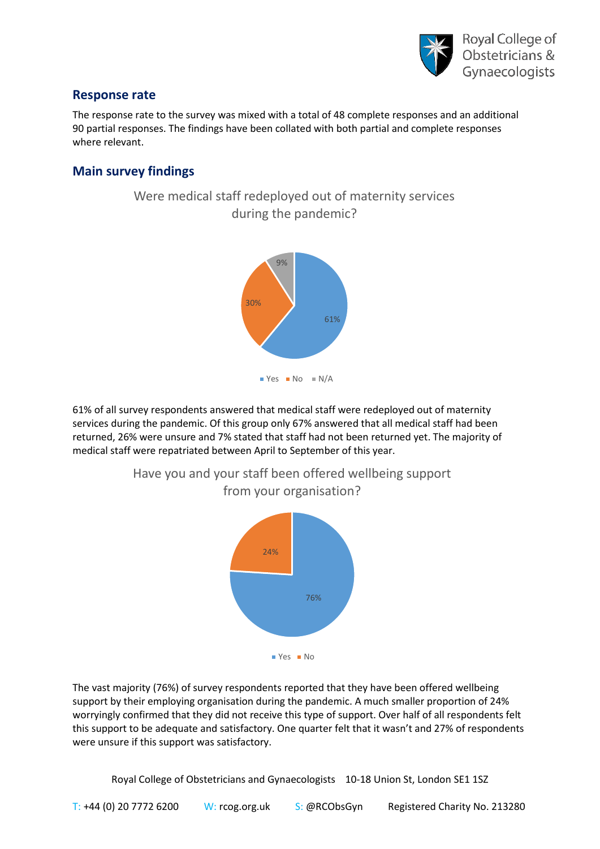

#### **Response rate**

The response rate to the survey was mixed with a total of 48 complete responses and an additional 90 partial responses. The findings have been collated with both partial and complete responses where relevant.

# **Main survey findings**





61% of all survey respondents answered that medical staff were redeployed out of maternity services during the pandemic. Of this group only 67% answered that all medical staff had been returned, 26% were unsure and 7% stated that staff had not been returned yet. The majority of medical staff were repatriated between April to September of this year.



Have you and your staff been offered wellbeing support from your organisation?

The vast majority (76%) of survey respondents reported that they have been offered wellbeing support by their employing organisation during the pandemic. A much smaller proportion of 24% worryingly confirmed that they did not receive this type of support. Over half of all respondents felt this support to be adequate and satisfactory. One quarter felt that it wasn't and 27% of respondents were unsure if this support was satisfactory.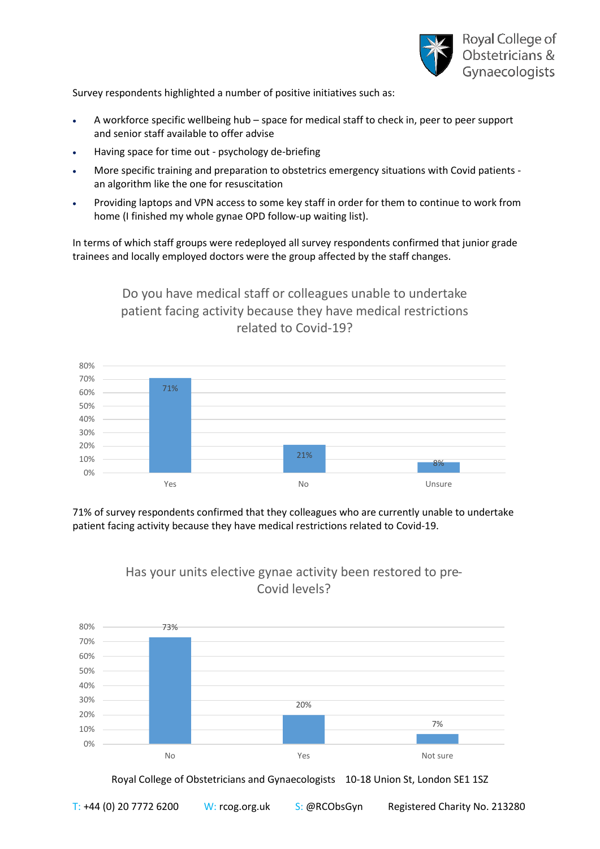

Survey respondents highlighted a number of positive initiatives such as:

- A workforce specific wellbeing hub space for medical staff to check in, peer to peer support and senior staff available to offer advise
- Having space for time out psychology de-briefing
- More specific training and preparation to obstetrics emergency situations with Covid patients an algorithm like the one for resuscitation
- Providing laptops and VPN access to some key staff in order for them to continue to work from home (I finished my whole gynae OPD follow-up waiting list).

In terms of which staff groups were redeployed all survey respondents confirmed that junior grade trainees and locally employed doctors were the group affected by the staff changes.

> Do you have medical staff or colleagues unable to undertake patient facing activity because they have medical restrictions related to Covid-19?



71% of survey respondents confirmed that they colleagues who are currently unable to undertake patient facing activity because they have medical restrictions related to Covid-19.

> Has your units elective gynae activity been restored to pre-Covid levels?

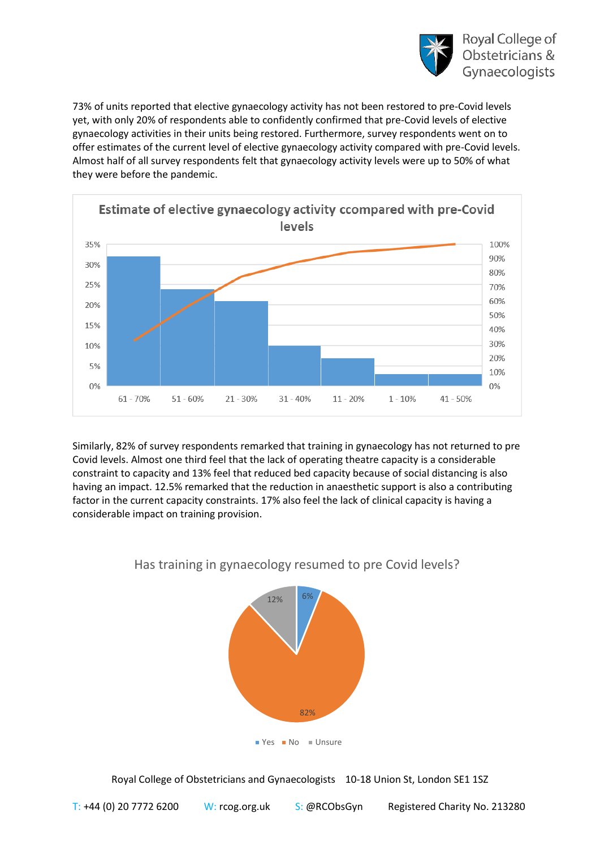

73% of units reported that elective gynaecology activity has not been restored to pre-Covid levels yet, with only 20% of respondents able to confidently confirmed that pre-Covid levels of elective gynaecology activities in their units being restored. Furthermore, survey respondents went on to offer estimates of the current level of elective gynaecology activity compared with pre-Covid levels. Almost half of all survey respondents felt that gynaecology activity levels were up to 50% of what they were before the pandemic.



Similarly, 82% of survey respondents remarked that training in gynaecology has not returned to pre Covid levels. Almost one third feel that the lack of operating theatre capacity is a considerable constraint to capacity and 13% feel that reduced bed capacity because of social distancing is also having an impact. 12.5% remarked that the reduction in anaesthetic support is also a contributing factor in the current capacity constraints. 17% also feel the lack of clinical capacity is having a considerable impact on training provision.



# Has training in gynaecology resumed to pre Covid levels?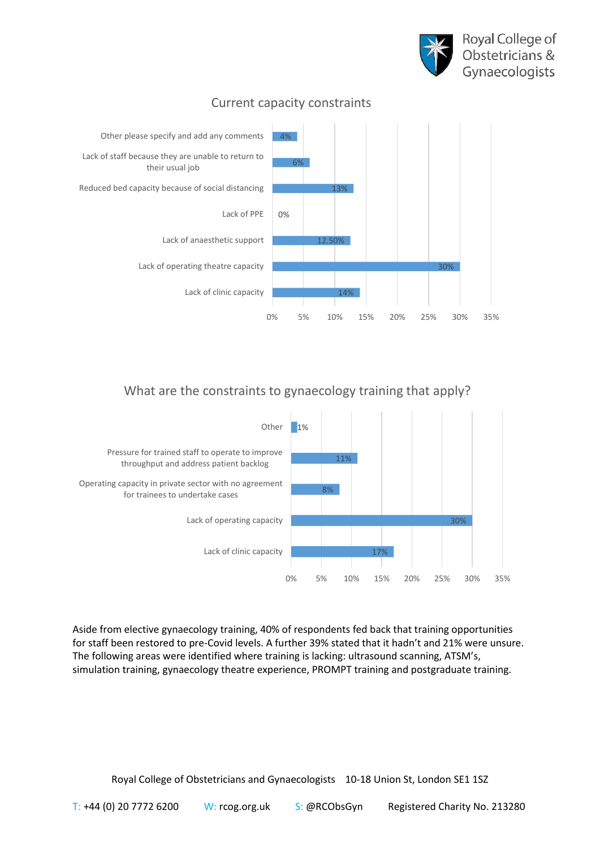



# Current capacity constraints

# What are the constraints to gynaecology training that apply?



Aside from elective gynaecology training, 40% of respondents fed back that training opportunities for staff been restored to pre-Covid levels. A further 39% stated that it hadn't and 21% were unsure. The following areas were identified where training is lacking: ultrasound scanning, ATSM's, simulation training, gynaecology theatre experience, PROMPT training and postgraduate training.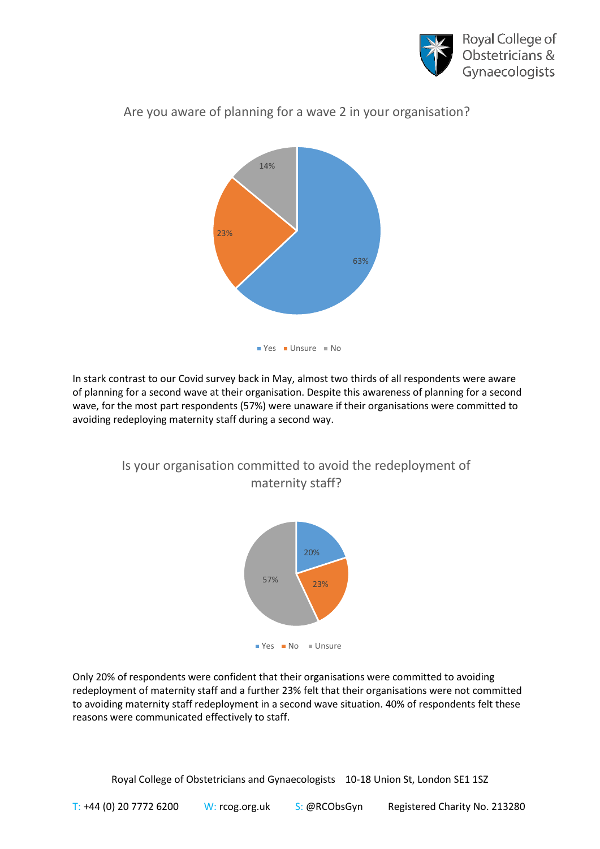



# Are you aware of planning for a wave 2 in your organisation?

In stark contrast to our Covid survey back in May, almost two thirds of all respondents were aware of planning for a second wave at their organisation. Despite this awareness of planning for a second wave, for the most part respondents (57%) were unaware if their organisations were committed to avoiding redeploying maternity staff during a second way.



Is your organisation committed to avoid the redeployment of maternity staff?

Only 20% of respondents were confident that their organisations were committed to avoiding redeployment of maternity staff and a further 23% felt that their organisations were not committed to avoiding maternity staff redeployment in a second wave situation. 40% of respondents felt these reasons were communicated effectively to staff.